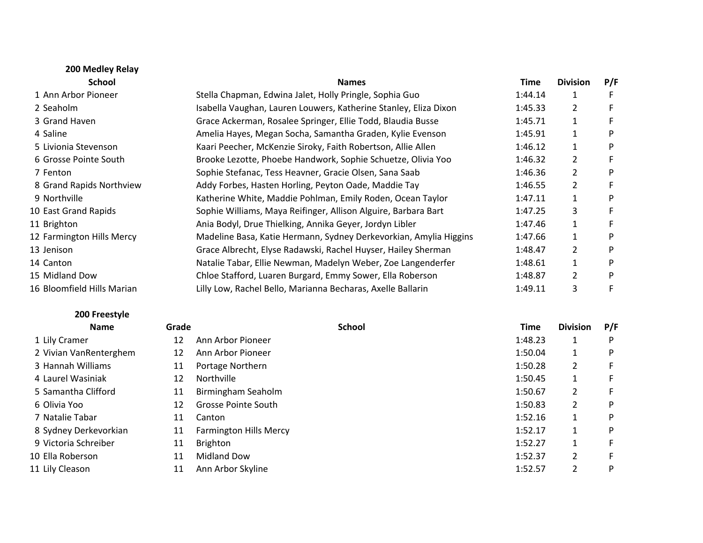| 200 Medley Relay           |                                                                   |         |                 |     |
|----------------------------|-------------------------------------------------------------------|---------|-----------------|-----|
| <b>School</b>              | <b>Names</b>                                                      | Time    | <b>Division</b> | P/F |
| 1 Ann Arbor Pioneer        | Stella Chapman, Edwina Jalet, Holly Pringle, Sophia Guo           | 1:44.14 | 1               | F.  |
| 2 Seaholm                  | Isabella Vaughan, Lauren Louwers, Katherine Stanley, Eliza Dixon  | 1:45.33 | 2               | F   |
| 3 Grand Haven              | Grace Ackerman, Rosalee Springer, Ellie Todd, Blaudia Busse       | 1:45.71 | $\mathbf 1$     | F.  |
| 4 Saline                   | Amelia Hayes, Megan Socha, Samantha Graden, Kylie Evenson         | 1:45.91 | $\mathbf{1}$    | P   |
| 5 Livionia Stevenson       | Kaari Peecher, McKenzie Siroky, Faith Robertson, Allie Allen      | 1:46.12 | 1               | P   |
| 6 Grosse Pointe South      | Brooke Lezotte, Phoebe Handwork, Sophie Schuetze, Olivia Yoo      | 1:46.32 | 2               | F.  |
| 7 Fenton                   | Sophie Stefanac, Tess Heavner, Gracie Olsen, Sana Saab            | 1:46.36 | 2               | P   |
| 8 Grand Rapids Northview   | Addy Forbes, Hasten Horling, Peyton Oade, Maddie Tay              | 1:46.55 | $\overline{2}$  | F.  |
| 9 Northville               | Katherine White, Maddie Pohlman, Emily Roden, Ocean Taylor        | 1:47.11 | $\mathbf{1}$    | P   |
| 10 East Grand Rapids       | Sophie Williams, Maya Reifinger, Allison Alguire, Barbara Bart    | 1:47.25 | 3               | F.  |
| 11 Brighton                | Ania Bodyl, Drue Thielking, Annika Geyer, Jordyn Libler           | 1:47.46 | 1               | F.  |
| 12 Farmington Hills Mercy  | Madeline Basa, Katie Hermann, Sydney Derkevorkian, Amylia Higgins | 1:47.66 | $\mathbf 1$     | P   |
| 13 Jenison                 | Grace Albrecht, Elyse Radawski, Rachel Huyser, Hailey Sherman     | 1:48.47 | $\overline{2}$  | P   |
| 14 Canton                  | Natalie Tabar, Ellie Newman, Madelyn Weber, Zoe Langenderfer      | 1:48.61 | $\mathbf{1}$    | P   |
| 15 Midland Dow             | Chloe Stafford, Luaren Burgard, Emmy Sower, Ella Roberson         | 1:48.87 | $\overline{2}$  | P   |
| 16 Bloomfield Hills Marian | Lilly Low, Rachel Bello, Marianna Becharas, Axelle Ballarin       | 1:49.11 | 3               | F.  |
|                            |                                                                   |         |                 |     |

## **200 Freestyle**

| <b>Name</b>            | Grade |                               | <b>School</b> | <b>Time</b> | <b>Division</b> | P/F |
|------------------------|-------|-------------------------------|---------------|-------------|-----------------|-----|
| 1 Lily Cramer          | 12    | Ann Arbor Pioneer             |               | 1:48.23     |                 | P   |
| 2 Vivian VanRenterghem | 12    | Ann Arbor Pioneer             |               | 1:50.04     |                 | P   |
| 3 Hannah Williams      | 11    | Portage Northern              |               | 1:50.28     | 2               |     |
| 4 Laurel Wasiniak      | 12    | Northville                    |               | 1:50.45     |                 |     |
| 5 Samantha Clifford    | 11    | Birmingham Seaholm            |               | 1:50.67     | 2               |     |
| 6 Olivia Yoo           | 12    | <b>Grosse Pointe South</b>    |               | 1:50.83     | 2               | P   |
| 7 Natalie Tabar        | 11    | Canton                        |               | 1:52.16     |                 | P   |
| 8 Sydney Derkevorkian  | 11    | <b>Farmington Hills Mercy</b> |               | 1:52.17     |                 | D   |
| 9 Victoria Schreiber   | 11    | <b>Brighton</b>               |               | 1:52.27     |                 |     |
| 10 Ella Roberson       | 11    | <b>Midland Dow</b>            |               | 1:52.37     | 2               |     |
| 11 Lily Cleason        | 11    | Ann Arbor Skyline             |               | 1:52.57     | 2               | P   |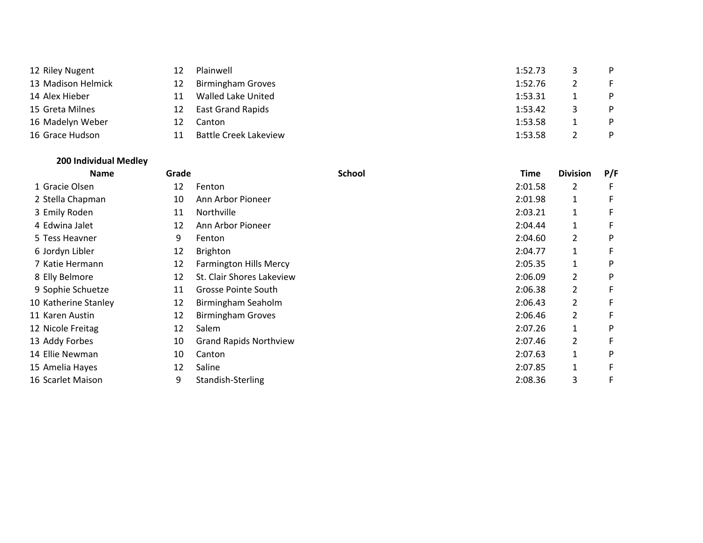| 12 Riley Nugent    |    | Plainwell                    | 1:52.73 | - P |
|--------------------|----|------------------------------|---------|-----|
| 13 Madison Helmick | 12 | <b>Birmingham Groves</b>     | 1:52.76 |     |
| 14 Alex Hieber     |    | Walled Lake United           | 1:53.31 | P.  |
| 15 Greta Milnes    | 12 | <b>East Grand Rapids</b>     | 1:53.42 | P   |
| 16 Madelyn Weber   |    | Canton                       | 1:53.58 | P.  |
| 16 Grace Hudson    |    | <b>Battle Creek Lakeview</b> | 1:53.58 |     |

## **200 Individual Medley**

|                      | <b>Name</b> | Grade |                               | <b>School</b> | <b>Time</b> | <b>Division</b> | P/F |
|----------------------|-------------|-------|-------------------------------|---------------|-------------|-----------------|-----|
| 1 Gracie Olsen       |             | 12    | Fenton                        |               | 2:01.58     | 2               |     |
| 2 Stella Chapman     |             | 10    | Ann Arbor Pioneer             |               | 2:01.98     | 1               | F.  |
| 3 Emily Roden        |             | 11    | Northville                    |               | 2:03.21     | $\mathbf{1}$    |     |
| 4 Edwina Jalet       |             | 12    | Ann Arbor Pioneer             |               | 2:04.44     | $\mathbf{1}$    |     |
| 5 Tess Heavner       |             | 9     | Fenton                        |               | 2:04.60     | $\overline{2}$  | P   |
| 6 Jordyn Libler      |             | 12    | <b>Brighton</b>               |               | 2:04.77     | $\mathbf{1}$    | F   |
| 7 Katie Hermann      |             | 12    | <b>Farmington Hills Mercy</b> |               | 2:05.35     | 1               | P   |
| 8 Elly Belmore       |             | 12    | St. Clair Shores Lakeview     |               | 2:06.09     | $\overline{2}$  | D   |
| 9 Sophie Schuetze    |             | 11    | Grosse Pointe South           |               | 2:06.38     | $\overline{2}$  |     |
| 10 Katherine Stanley |             | 12    | Birmingham Seaholm            |               | 2:06.43     | $\overline{2}$  |     |
| 11 Karen Austin      |             | 12    | <b>Birmingham Groves</b>      |               | 2:06.46     | 2               | F   |
| 12 Nicole Freitag    |             | 12    | Salem                         |               | 2:07.26     | $\mathbf{1}$    | P   |
| 13 Addy Forbes       |             | 10    | <b>Grand Rapids Northview</b> |               | 2:07.46     | 2               |     |
| 14 Ellie Newman      |             | 10    | Canton                        |               | 2:07.63     | $\mathbf{1}$    | P   |
| 15 Amelia Hayes      |             | 12    | Saline                        |               | 2:07.85     | 1               |     |
| 16 Scarlet Maison    |             | 9     | Standish-Sterling             |               | 2:08.36     | 3               | F   |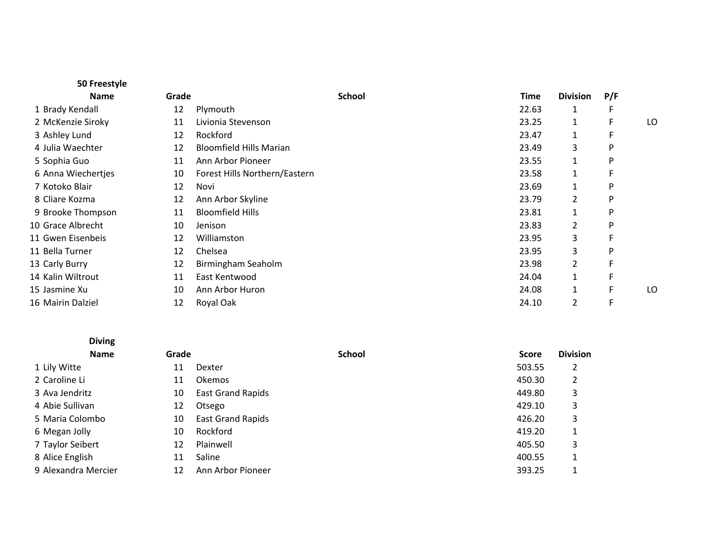|    |                                | <b>School</b> | Time  | <b>Division</b> | P/F |    |
|----|--------------------------------|---------------|-------|-----------------|-----|----|
| 12 | Plymouth                       |               | 22.63 | 1               |     |    |
| 11 | Livionia Stevenson             |               | 23.25 | 1               |     | LO |
| 12 | Rockford                       |               | 23.47 | 1               |     |    |
| 12 | <b>Bloomfield Hills Marian</b> |               | 23.49 | 3               | P   |    |
| 11 | Ann Arbor Pioneer              |               | 23.55 | 1               | P   |    |
| 10 | Forest Hills Northern/Eastern  |               | 23.58 | 1               |     |    |
| 12 | Novi                           |               | 23.69 | 1               | P   |    |
| 12 | Ann Arbor Skyline              |               | 23.79 | 2               | P   |    |
| 11 | <b>Bloomfield Hills</b>        |               | 23.81 | $\mathbf{1}$    | P   |    |
| 10 | Jenison                        |               | 23.83 | $\overline{2}$  | P   |    |
| 12 | Williamston                    |               | 23.95 | 3               |     |    |
| 12 | Chelsea                        |               | 23.95 | 3               | P   |    |
| 12 | Birmingham Seaholm             |               | 23.98 | $\overline{2}$  |     |    |
| 11 | East Kentwood                  |               | 24.04 | 1               |     |    |
| 10 | Ann Arbor Huron                |               | 24.08 | 1               |     | LO |
| 12 | Royal Oak                      |               | 24.10 | 2               |     |    |
|    |                                | Grade         |       |                 |     |    |

| <b>Diving</b>       |       |                          |        |              |                 |
|---------------------|-------|--------------------------|--------|--------------|-----------------|
| <b>Name</b>         | Grade |                          | School | <b>Score</b> | <b>Division</b> |
| 1 Lily Witte        | 11    | Dexter                   |        | 503.55       | $\overline{2}$  |
| 2 Caroline Li       | 11    | <b>Okemos</b>            |        | 450.30       | 2               |
| 3 Ava Jendritz      | 10    | <b>East Grand Rapids</b> |        | 449.80       | 3               |
| 4 Abie Sullivan     | 12    | Otsego                   |        | 429.10       | 3               |
| 5 Maria Colombo     | 10    | <b>East Grand Rapids</b> |        | 426.20       | 3               |
| 6 Megan Jolly       | 10    | Rockford                 |        | 419.20       | 1               |
| 7 Taylor Seibert    | 12    | Plainwell                |        | 405.50       | 3               |
| 8 Alice English     | 11    | Saline                   |        | 400.55       | 1               |
| 9 Alexandra Mercier | 12    | Ann Arbor Pioneer        |        | 393.25       |                 |

9 Alexandra Mercier 12 Ann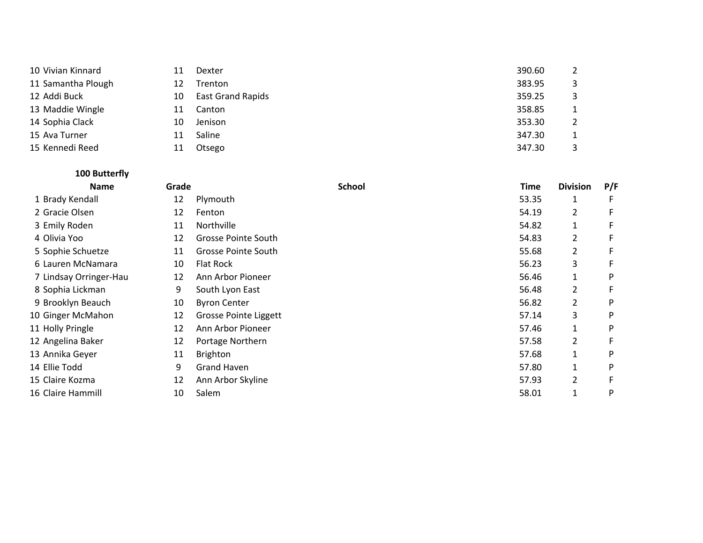| 10 Vivian Kinnard  | 11 | Dexter                   | 390.60 |  |
|--------------------|----|--------------------------|--------|--|
| 11 Samantha Plough | 12 | Trenton                  | 383.95 |  |
| 12 Addi Buck       | 10 | <b>East Grand Rapids</b> | 359.25 |  |
| 13 Maddie Wingle   | 11 | Canton                   | 358.85 |  |
| 14 Sophia Clack    | 10 | Jenison                  | 353.30 |  |
| 15 Ava Turner      | 11 | Saline                   | 347.30 |  |
| 15 Kennedi Reed    | 11 | Otsego                   | 347.30 |  |

| 100 Butterfly          |       |                            |               |       |                 |     |
|------------------------|-------|----------------------------|---------------|-------|-----------------|-----|
| <b>Name</b>            | Grade |                            | <b>School</b> | Time  | <b>Division</b> | P/F |
| 1 Brady Kendall        | 12    | Plymouth                   |               | 53.35 | 1               |     |
| 2 Gracie Olsen         | 12    | Fenton                     |               | 54.19 | 2               |     |
| 3 Emily Roden          | 11    | <b>Northville</b>          |               | 54.82 | $\mathbf{1}$    |     |
| 4 Olivia Yoo           | 12    | <b>Grosse Pointe South</b> |               | 54.83 | 2               |     |
| 5 Sophie Schuetze      | 11    | Grosse Pointe South        |               | 55.68 | $\overline{2}$  | F   |
| 6 Lauren McNamara      | 10    | Flat Rock                  |               | 56.23 | 3               | F   |
| 7 Lindsay Orringer-Hau | 12    | Ann Arbor Pioneer          |               | 56.46 | 1               | P   |
| 8 Sophia Lickman       | 9     | South Lyon East            |               | 56.48 | $\overline{2}$  | F   |
| 9 Brooklyn Beauch      | 10    | <b>Byron Center</b>        |               | 56.82 | 2               | P   |
| 10 Ginger McMahon      | 12    | Grosse Pointe Liggett      |               | 57.14 | 3               | P   |
| 11 Holly Pringle       | 12    | Ann Arbor Pioneer          |               | 57.46 | 1               | P   |
| 12 Angelina Baker      | 12    | Portage Northern           |               | 57.58 | $\overline{2}$  |     |
| 13 Annika Geyer        | 11    | <b>Brighton</b>            |               | 57.68 | 1               | P   |
| 14 Ellie Todd          | 9     | <b>Grand Haven</b>         |               | 57.80 | 1               | P   |
| 15 Claire Kozma        | 12    | Ann Arbor Skyline          |               | 57.93 | 2               | F   |
| 16 Claire Hammill      | 10    | Salem                      |               | 58.01 | 1               | P   |
|                        |       |                            |               |       |                 |     |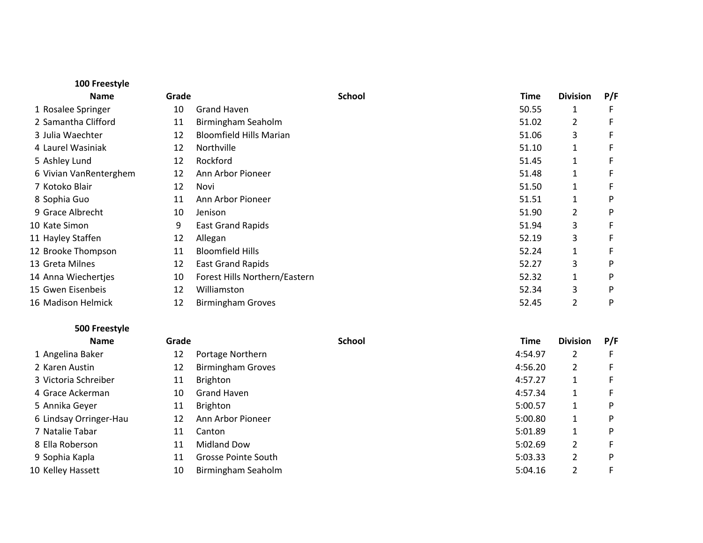| 100 Freestyle          |       |                                |               |             |                 |     |
|------------------------|-------|--------------------------------|---------------|-------------|-----------------|-----|
| <b>Name</b>            | Grade |                                | <b>School</b> | <b>Time</b> | <b>Division</b> | P/F |
| 1 Rosalee Springer     | 10    | Grand Haven                    |               | 50.55       | 1               |     |
| 2 Samantha Clifford    | 11    | Birmingham Seaholm             |               | 51.02       | $\overline{2}$  |     |
| 3 Julia Waechter       | 12    | <b>Bloomfield Hills Marian</b> |               | 51.06       | 3               |     |
| 4 Laurel Wasiniak      | 12    | Northville                     |               | 51.10       | 1               | F   |
| 5 Ashley Lund          | 12    | Rockford                       |               | 51.45       | $\mathbf{1}$    |     |
| 6 Vivian VanRenterghem | 12    | Ann Arbor Pioneer              |               | 51.48       | $\mathbf{1}$    | F   |
| 7 Kotoko Blair         | 12    | Novi                           |               | 51.50       | 1               | F   |
| 8 Sophia Guo           | 11    | Ann Arbor Pioneer              |               | 51.51       | 1               | P   |
| 9 Grace Albrecht       | 10    | Jenison                        |               | 51.90       | $\overline{2}$  | P   |
| 10 Kate Simon          | 9     | <b>East Grand Rapids</b>       |               | 51.94       | 3               |     |
| 11 Hayley Staffen      | 12    | Allegan                        |               | 52.19       | 3               |     |
| 12 Brooke Thompson     | 11    | <b>Bloomfield Hills</b>        |               | 52.24       | 1               |     |
| 13 Greta Milnes        | 12    | <b>East Grand Rapids</b>       |               | 52.27       | 3               | P   |
| 14 Anna Wiechertjes    | 10    | Forest Hills Northern/Eastern  |               | 52.32       | 1               | P   |
| 15 Gwen Eisenbeis      | 12    | Williamston                    |               | 52.34       | 3               | P   |
| 16 Madison Helmick     | 12    | <b>Birmingham Groves</b>       |               | 52.45       | $\overline{2}$  | P   |
|                        |       |                                |               |             |                 |     |

**500 Freestyle Name**

| Grade |                          | <b>School</b> | Time    | <b>Division</b> | P/F |
|-------|--------------------------|---------------|---------|-----------------|-----|
| 12    | Portage Northern         |               | 4:54.97 | 2               |     |
| 12    | <b>Birmingham Groves</b> |               | 4:56.20 | 2               |     |
| 11    | <b>Brighton</b>          |               | 4:57.27 |                 |     |
| 10    | Grand Haven              |               | 4:57.34 |                 |     |
| 11    | <b>Brighton</b>          |               | 5:00.57 |                 | P   |
| 12    | Ann Arbor Pioneer        |               | 5:00.80 |                 | P   |
| 11    | Canton                   |               | 5:01.89 |                 | P   |
| 11    | <b>Midland Dow</b>       |               | 5:02.69 | $\overline{2}$  |     |
| 11    | Grosse Pointe South      |               | 5:03.33 | 2               | P   |
| 10    | Birmingham Seaholm       |               | 5:04.16 | 2               |     |
|       |                          |               |         |                 |     |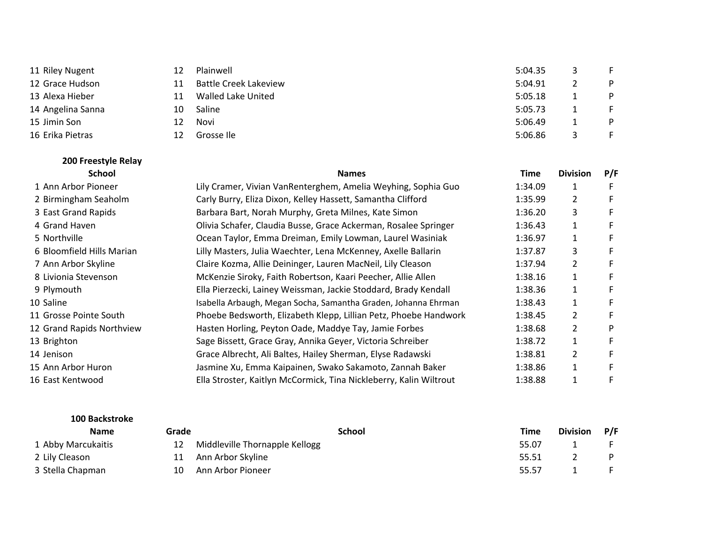| 11 Riley Nugent   | 12 | Plainwell                    | 5:04.35 | E. |
|-------------------|----|------------------------------|---------|----|
| 12 Grace Hudson   | 11 | <b>Battle Creek Lakeview</b> | 5:04.91 | P. |
| 13 Alexa Hieber   | 11 | <b>Walled Lake United</b>    | 5:05.18 | P. |
| 14 Angelina Sanna | 10 | Saline                       | 5:05.73 |    |
| 15 Jimin Son      | 12 | Novi                         | 5:06.49 | P. |
| 16 Erika Pietras  | 12 | Grosse Ile                   | 5:06.86 |    |

| <b>School</b>             | <b>Names</b>                                                       | Time    | <b>Division</b>       | P/F |
|---------------------------|--------------------------------------------------------------------|---------|-----------------------|-----|
| 1 Ann Arbor Pioneer       | Lily Cramer, Vivian VanRenterghem, Amelia Weyhing, Sophia Guo      | 1:34.09 |                       | F   |
| 2 Birmingham Seaholm      | Carly Burry, Eliza Dixon, Kelley Hassett, Samantha Clifford        | 1:35.99 | 2                     | F   |
| 3 East Grand Rapids       | Barbara Bart, Norah Murphy, Greta Milnes, Kate Simon               | 1:36.20 | 3                     |     |
| 4 Grand Haven             | Olivia Schafer, Claudia Busse, Grace Ackerman, Rosalee Springer    | 1:36.43 |                       | F.  |
| 5 Northville              | Ocean Taylor, Emma Dreiman, Emily Lowman, Laurel Wasiniak          | 1:36.97 |                       | F   |
| 6 Bloomfield Hills Marian | Lilly Masters, Julia Waechter, Lena McKenney, Axelle Ballarin      | 1:37.87 | 3                     | F   |
| 7 Ann Arbor Skyline       | Claire Kozma, Allie Deininger, Lauren MacNeil, Lily Cleason        | 1:37.94 | $\mathbf{2}^{\prime}$ |     |
| 8 Livionia Stevenson      | McKenzie Siroky, Faith Robertson, Kaari Peecher, Allie Allen       | 1:38.16 |                       | F   |
| 9 Plymouth                | Ella Pierzecki, Lainey Weissman, Jackie Stoddard, Brady Kendall    | 1:38.36 | 1                     |     |
| 10 Saline                 | Isabella Arbaugh, Megan Socha, Samantha Graden, Johanna Ehrman     | 1:38.43 |                       | F   |
| 11 Grosse Pointe South    | Phoebe Bedsworth, Elizabeth Klepp, Lillian Petz, Phoebe Handwork   | 1:38.45 | 2                     | F   |
| 12 Grand Rapids Northview | Hasten Horling, Peyton Oade, Maddye Tay, Jamie Forbes              | 1:38.68 | $\mathbf{2}^{\prime}$ | P   |
| 13 Brighton               | Sage Bissett, Grace Gray, Annika Geyer, Victoria Schreiber         | 1:38.72 |                       | F   |
| 14 Jenison                | Grace Albrecht, Ali Baltes, Hailey Sherman, Elyse Radawski         | 1:38.81 | $\mathbf{2}^{\prime}$ | F   |
| 15 Ann Arbor Huron        | Jasmine Xu, Emma Kaipainen, Swako Sakamoto, Zannah Baker           | 1:38.86 | 1                     | F   |
| 16 East Kentwood          | Ella Stroster, Kaitlyn McCormick, Tina Nickleberry, Kalin Wiltrout | 1:38.88 |                       | F   |

#### **100 Backstroke**

**200 Freestyle Relay**

| <b>Name</b>        | Grade | School                         | Time  | Division P/F |  |
|--------------------|-------|--------------------------------|-------|--------------|--|
| 1 Abby Marcukaitis | 12    | Middleville Thornapple Kellogg | 55.07 |              |  |
| 2 Lily Cleason     | 11    | Ann Arbor Skyline              | 55.51 |              |  |
| 3 Stella Chapman   | 10    | Ann Arbor Pioneer              | 55.57 |              |  |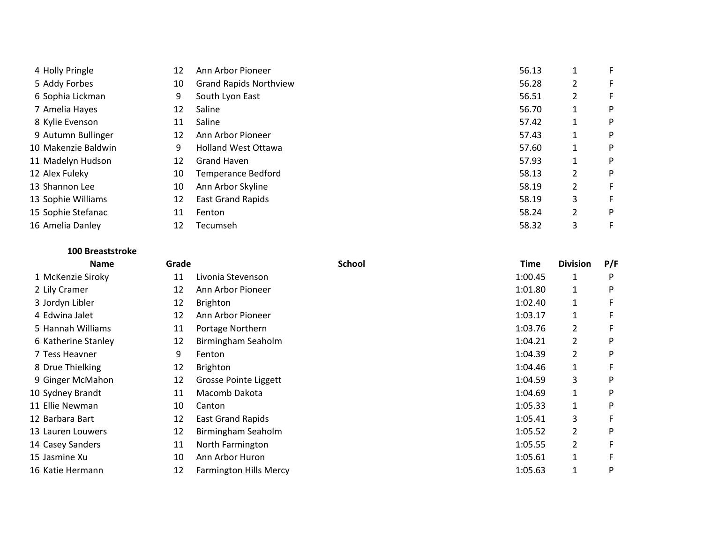| 4 Holly Pringle     | 12 | Ann Arbor Pioneer             | 56.13 |   |   |
|---------------------|----|-------------------------------|-------|---|---|
| 5 Addy Forbes       | 10 | <b>Grand Rapids Northview</b> | 56.28 | 2 |   |
| 6 Sophia Lickman    | 9  | South Lyon East               | 56.51 | 2 |   |
| 7 Amelia Hayes      | 12 | Saline                        | 56.70 |   | P |
| 8 Kylie Evenson     | 11 | Saline                        | 57.42 |   | P |
| 9 Autumn Bullinger  | 12 | Ann Arbor Pioneer             | 57.43 |   | P |
| 10 Makenzie Baldwin | 9  | <b>Holland West Ottawa</b>    | 57.60 |   | P |
| 11 Madelyn Hudson   | 12 | <b>Grand Haven</b>            | 57.93 |   | P |
| 12 Alex Fuleky      | 10 | Temperance Bedford            | 58.13 | 2 | P |
| 13 Shannon Lee      | 10 | Ann Arbor Skyline             | 58.19 | 2 |   |
| 13 Sophie Williams  | 12 | <b>East Grand Rapids</b>      | 58.19 | 3 |   |
| 15 Sophie Stefanac  | 11 | Fenton                        | 58.24 | 2 | P |
| 16 Amelia Danley    | 12 | Tecumseh                      | 58.32 | 3 |   |

# **100 Breaststroke**

| <b>Name</b>         | Grade |                               | <b>School</b> | Time    | <b>Division</b> | P/F |
|---------------------|-------|-------------------------------|---------------|---------|-----------------|-----|
| 1 McKenzie Siroky   | 11    | Livonia Stevenson             |               | 1:00.45 | 1               |     |
| 2 Lily Cramer       | 12    | Ann Arbor Pioneer             |               | 1:01.80 | 1               | P   |
| 3 Jordyn Libler     | 12    | <b>Brighton</b>               |               | 1:02.40 | 1               |     |
| 4 Edwina Jalet      | 12    | Ann Arbor Pioneer             |               | 1:03.17 | 1               |     |
| 5 Hannah Williams   | 11    | Portage Northern              |               | 1:03.76 | 2               |     |
| 6 Katherine Stanley | 12    | Birmingham Seaholm            |               | 1:04.21 | 2               | P   |
| 7 Tess Heavner      | 9     | Fenton                        |               | 1:04.39 | 2               | P   |
| 8 Drue Thielking    | 12    | <b>Brighton</b>               |               | 1:04.46 | 1               |     |
| 9 Ginger McMahon    | 12    | <b>Grosse Pointe Liggett</b>  |               | 1:04.59 | 3               | P   |
| 10 Sydney Brandt    | 11    | Macomb Dakota                 |               | 1:04.69 | 1               | P   |
| 11 Ellie Newman     | 10    | Canton                        |               | 1:05.33 | 1               | P   |
| 12 Barbara Bart     | 12    | <b>East Grand Rapids</b>      |               | 1:05.41 | 3               |     |
| 13 Lauren Louwers   | 12    | Birmingham Seaholm            |               | 1:05.52 | $\overline{2}$  | P   |
| 14 Casey Sanders    | 11    | North Farmington              |               | 1:05.55 | 2               |     |
| 15 Jasmine Xu       | 10    | Ann Arbor Huron               |               | 1:05.61 | $\mathbf{1}$    |     |
| 16 Katie Hermann    | 12    | <b>Farmington Hills Mercy</b> |               | 1:05.63 | 1               | P   |